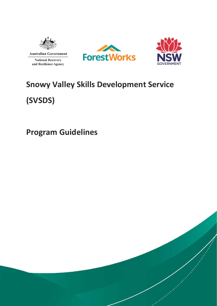





# **Snowy Valley Skills Development Service (SVSDS)**

**Program Guidelines**

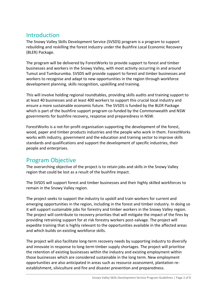# **Introduction**

The Snowy Valley Skills Development Service (SVSDS) program is a program to support rebuilding and reskilling the forest industry under the Bushfire Local Economic Recovery (BLER) Package.

The program will be delivered by ForestWorks to provide support to forest and timber businesses and workers in the Snowy Valley, with most activity occurring in and around Tumut and Tumburumba. SVSDS will provide support to forest and timber businesses and workers to recognise and adapt to new opportunities in the region through workforce development planning, skills recognition, upskilling and training.

This will involve holding regional roundtables, providing skills audits and training support to at least 40 businesses and at least 400 workers to support this crucial local industry and ensure a more sustainable economic future. The SVSDS is funded by the BLER Package which is part of the bushfire support program co-funded by the Commonwealth and NSW governments for bushfire recovery, response and preparedness in NSW.

ForestWorks is a not-for-profit organisation supporting the development of the forest, wood, paper and timber products industries and the people who work in them. ForestWorks works with industry, government and the education and training sector to improve skills standards and qualifications and support the development of specific industries, their people and enterprises.

### Program Objective

The overarching objective of the project is to retain jobs and skills in the Snowy Valley region that could be lost as a result of the bushfire impact.

The SVSDS will support forest and timber businesses and their highly skilled workforces to remain in the Snowy Valley region.

The project seeks to support the industry to upskill and train workers for current and emerging opportunities in the region, including in the forest and timber industry. In doing so it will support sustainable jobs for forestry and timber workers in the Snowy Valley region. The project will contribute to recovery priorities that will mitigate the impact of the fires by providing retraining support for at risk forestry workers post-salvage. The project will expedite training that is highly relevant to the opportunities available in the affected areas and which builds on existing workforce skills.

The project will also facilitate long-term recovery needs by supporting industry to diversify and innovate in response to long-term timber supply shortages. The project will prioritise the retention of existing businesses within the industry and existing employment within those businesses which are considered sustainable in the long term. New employment opportunities are also anticipated in areas such as resource assessment, plantation reestablishment, silviculture and fire and disaster prevention and preparedness.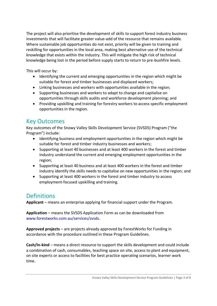The project will also prioritise the development of skills to support forest industry business investments that will facilitate greater value-add of the resource that remains available. Where sustainable job opportunities do not exist, priority will be given to training and reskilling for opportunities in the local area, making best alternative use of the technical knowledge that exists within the industry. This will mitigate the high risk of technical knowledge being lost in the period before supply starts to return to pre-bushfire levels.

This will occur by:

- Identifying the current and emerging opportunities in the region which might be suitable for forest and timber businesses and displaced workers;
- Linking businesses and workers with opportunities available in the region;
- Supporting businesses and workers to adapt to change and capitalise on opportunities through skills audits and workforce development planning; and
- Providing upskilling and training for forestry workers to access specific employment opportunities in the region.

### Key Outcomes

Key outcomes of the Snowy Valley Skills Development Service (SVSDS) Program ("the Program") include:

- Identifying business and employment opportunities in the region which might be suitable for forest and timber industry businesses and workers;
- Supporting at least 40 businesses and at least 400 workers in the forest and timber industry understand the current and emerging employment opportunities in the region;
- Supporting at least 40 business and at least 400 workers in the forest and timber industry identify the skills needs to capitalise on new opportunities in the region; and
- Supporting at least 400 workers in the forest and timber industry to access employment-focused upskilling and training.

# **Definitions**

**Applicant** – means an enterprise applying for financial support under the Program.

**Application** – means the SVSDS Application Form as can be downloaded from [www.forestworks.com.au/services/svsds.](http://www.forestworks.com.au/services/svsds)

**Approved projects** – are projects already approved by ForestWorks for Funding in accordance with the procedure outlined in these Program Guidelines.

**Cash/In-kind** – means a direct resource to support the skills development and could include a combination of cash, consumables, teaching space on site, access to plant and equipment, on site experts or access to facilities for best practice operating scenarios, learner work time.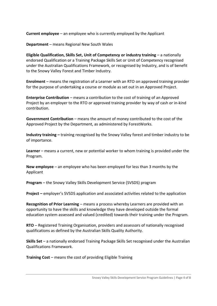**Current employee** – an employee who is currently employed by the Applicant

**Department** – means Regional New South Wales

**Eligible Qualification, Skills Set, Unit of Competency or industry training** – a nationally endorsed Qualification or a Training Package Skills Set or Unit of Competency recognised under the Australian Qualifications Framework, or recognised by Industry, and is of benefit to the Snowy Valley Forest and Timber Industry.

**Enrolment** – means the registration of a Learner with an RTO on approved training provider for the purpose of undertaking a course or module as set out in an Approved Project.

**Enterprise Contribution** – means a contribution to the cost of training of an Approved Project by an employer to the RTO or approved training provider by way of cash or in-kind contribution.

**Government Contribution** – means the amount of money contributed to the cost of the Approved Project by the Department, as administered by ForestWorks.

**Industry training –** training recognised by the Snowy Valley forest and timber industry to be of importance.

**Learner** – means a current, new or potential worker to whom training is provided under the Program.

**New employee** – an employee who has been employed for less than 3 months by the Applicant

**Program** – the Snowy Valley Skills Development Service (SVSDS) program

**Project –** employer's SVSDS application and associated activities related to the application

**Recognition of Prior Learning** – means a process whereby Learners are provided with an opportunity to have the skills and knowledge they have developed outside the formal education system assessed and valued (credited) towards their training under the Program.

**RTO** – Registered Training Organisation, providers and assessors of nationally recognised qualifications as defined by the Australian Skills Quality Authority.

**Skills Set** – a nationally endorsed Training Package Skills Set recognised under the Australian Qualifications Framework.

**Training Cost** – means the cost of providing Eligible Training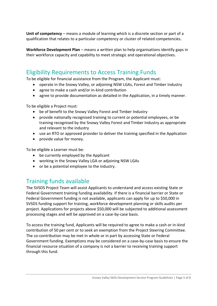Unit of competency – means a module of learning which is a discrete section or part of a qualification that relates to a particular competency or cluster of related competencies.

**Workforce Development Plan** – means a written plan to help organisations identify gaps in their workforce capacity and capability to meet strategic and operational objectives.

# Eligibility Requirements to Access Training Funds

To be eligible for financial assistance from the Program, the Applicant must:

- operate in the Snowy Valley, or adjoining NSW LGAs, Forest and Timber Industry
- agree to make a cash and/or in-kind contribution
- agree to provide documentation as detailed in the Application, in a timely manner.

To be eligible a Project must:

- be of benefit to the Snowy Valley Forest and Timber Industry
- provide nationally recognised training to current or potential employees, or be training recognised by the Snowy Valley Forest and Timber Industry as appropriate and relevant to the industry
- use an RTO or approved provider to deliver the training specified in the Application
- provide value for money.

To be eligible a Learner must be:

- be currently employed by the Applicant
- working in the Snowy Valley LGA or adjoining NSW LGAs
- or be a potential employee to the industry.

# Training funds available

The SVSDS Project Team will assist Applicants to understand and access existing State or Federal Government training funding availability. If there is a financial barrier or State or Federal Government funding is not available, applicants can apply for up to \$50,000 in SVSDS funding support for training, workforce development planning or skills audits per project. Applications for projects above \$50,000 will be subjected to additional assessment processing stages and will be approved on a case-by-case basis.

To access the training fund, Applicants will be required to agree to make a cash or in-kind contribution of 50 per cent or to seek an exemption from the Project Steering Committee. The co-contribution may be met in whole or in part by accessing State or Federal Government funding. Exemptions may be considered on a case-by-case basis to ensure the financial resource situation of a company is not a barrier to receiving training support through this fund.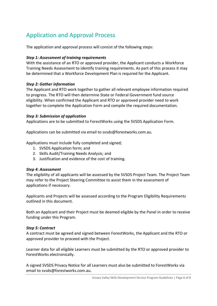# Application and Approval Process

The application and approval process will consist of the following steps:

#### *Step 1: Assessment of training requirements*

With the assistance of an RTO or approved provider, the Applicant conducts a Workforce Training Needs Assessment to identify training requirements. As part of this process it may be determined that a Workforce Development Plan is required for the Applicant.

#### *Step 2: Gather information*

The Applicant and RTO work together to gather all relevant employee information required to progress. The RTO will then determine State or Federal Government fund source eligibility. When confirmed the Applicant and RTO or approved provider need to work together to complete the Application Form and compile the required documentation.

#### *Step 3: Submission of application*

Applications are to be submitted to ForestWorks using the SVSDS Application Form.

Applications can be submitted via email to [svsds@forestworks.com.au.](mailto:svsds@forestworks.com.au)

Applications must include fully completed and signed;

- 1. SVSDS Application form; and
- 2. Skills Audit/Training Needs Analysis; and
- 3. Justification and evidence of the cost of training.

#### *Step 4: Assessment*

The eligibility of all applicants will be assessed by the SVSDS Project Team. The Project Team may refer to the Project Steering Committee to assist them in the assessment of applications if necessary.

Applicants and Projects will be assessed according to the Program Eligibility Requirements outlined in this document.

Both an Applicant and their Project must be deemed eligible by the Panel in order to receive funding under this Program.

#### *Step 5: Contract*

A contract must be agreed and signed between ForestWorks, the Applicant and the RTO or approved provider to proceed with the Project.

Learner data for all eligible Learners must be submitted by the RTO or approved provider to ForestWorks electronically.

A signed SVSDS Privacy Notice for all Learners must also be submitted to ForestWorks via email to [svsds@forestworks.com.au.](mailto:svsds@forestworks.com.au)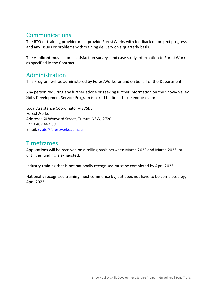# Communications

The RTO or training provider must provide ForestWorks with feedback on project progress and any issues or problems with training delivery on a quarterly basis.

The Applicant must submit satisfaction surveys and case study information to ForestWorks as specified in the Contract.

### Administration

This Program will be administered by ForestWorks for and on behalf of the Department.

Any person requiring any further advice or seeking further information on the Snowy Valley Skills Development Service Program is asked to direct those enquiries to:

Local Assistance Coordinator – SVSDS ForestWorks Address: 60 Wynyard Street, Tumut, NSW, 2720 Ph: 0407 467 891 Email: [svsds@forestworks.com.au](mailto:svsds@forestworks.com.au)

# Timeframes

Applications will be received on a rolling basis between March 2022 and March 2023, or until the funding is exhausted.

Industry training that is not nationally recognised must be completed by April 2023.

Nationally recognised training must commence by, but does not have to be completed by, April 2023.